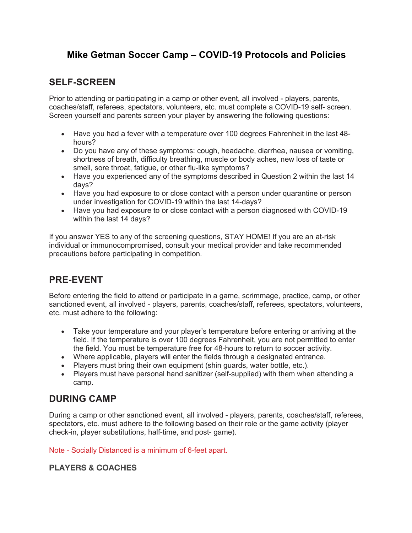# **Mike Getman Soccer Camp – COVID-19 Protocols and Policies**

### **SELF-SCREEN**

Prior to attending or participating in a camp or other event, all involved - players, parents, coaches/staff, referees, spectators, volunteers, etc. must complete a COVID-19 self- screen. Screen yourself and parents screen your player by answering the following questions:

- Have you had a fever with a temperature over 100 degrees Fahrenheit in the last 48 hours?
- Do you have any of these symptoms: cough, headache, diarrhea, nausea or vomiting, shortness of breath, difficulty breathing, muscle or body aches, new loss of taste or smell, sore throat, fatigue, or other flu-like symptoms?
- Have you experienced any of the symptoms described in Question 2 within the last 14 days?
- Have you had exposure to or close contact with a person under quarantine or person under investigation for COVID-19 within the last 14-days?
- Have you had exposure to or close contact with a person diagnosed with COVID-19 within the last 14 days?

If you answer YES to any of the screening questions, STAY HOME! If you are an at-risk individual or immunocompromised, consult your medical provider and take recommended precautions before participating in competition.

# **PRE-EVENT**

Before entering the field to attend or participate in a game, scrimmage, practice, camp, or other sanctioned event, all involved - players, parents, coaches/staff, referees, spectators, volunteers, etc. must adhere to the following:

- Take your temperature and your player's temperature before entering or arriving at the field. If the temperature is over 100 degrees Fahrenheit, you are not permitted to enter the field. You must be temperature free for 48-hours to return to soccer activity.
- Where applicable, players will enter the fields through a designated entrance.
- Players must bring their own equipment (shin guards, water bottle, etc.).
- Players must have personal hand sanitizer (self-supplied) with them when attending a camp.

# **DURING CAMP**

During a camp or other sanctioned event, all involved - players, parents, coaches/staff, referees, spectators, etc. must adhere to the following based on their role or the game activity (player check-in, player substitutions, half-time, and post- game).

Note - Socially Distanced is a minimum of 6-feet apart.

#### **PLAYERS & COACHES**